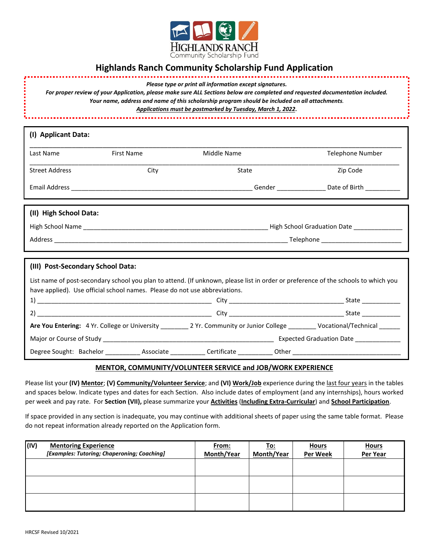

## **Highlands Ranch Community Scholarship Fund Application**

| Please type or print all information except signatures. |  |  |
|---------------------------------------------------------|--|--|
|                                                         |  |  |

*For proper review of your Application, please make sure ALL Sections below are completed and requested documentation included. Your name, address and name of this scholarship program should be included on all attachments. Applications must be postmarked by Tuesday, March 1, 2022***.** 

| (I) Applicant Data:               |                                                                            |                                                                                                                                    |                  |
|-----------------------------------|----------------------------------------------------------------------------|------------------------------------------------------------------------------------------------------------------------------------|------------------|
| Last Name                         | First Name                                                                 | Middle Name                                                                                                                        | Telephone Number |
| <b>Street Address</b>             | City                                                                       | State                                                                                                                              | Zip Code         |
|                                   |                                                                            |                                                                                                                                    |                  |
| (II) High School Data:            |                                                                            |                                                                                                                                    |                  |
|                                   |                                                                            |                                                                                                                                    |                  |
|                                   |                                                                            |                                                                                                                                    |                  |
|                                   |                                                                            |                                                                                                                                    |                  |
| (III) Post-Secondary School Data: |                                                                            |                                                                                                                                    |                  |
|                                   | have applied). Use official school names. Please do not use abbreviations. | List name of post-secondary school you plan to attend. (If unknown, please list in order or preference of the schools to which you |                  |
|                                   |                                                                            |                                                                                                                                    |                  |
|                                   |                                                                            |                                                                                                                                    |                  |
|                                   |                                                                            | Are You Entering: 4 Yr. College or University __________ 2 Yr. Community or Junior College _________ Vocational/Technical _______  |                  |
|                                   |                                                                            |                                                                                                                                    |                  |
|                                   |                                                                            |                                                                                                                                    |                  |

#### **MENTOR, COMMUNITY/VOLUNTEER SERVICE and JOB/WORK EXPERIENCE**

Please list your **(IV) Mentor**; **(V) Community/Volunteer Service**; and **(VI) Work/Job** experience during the last four years in the tables and spaces below. Indicate types and dates for each Section. Also include dates of employment (and any internships), hours worked per week and pay rate. For **Section (VII),** please summarize your **Activities** (**Including Extra-Curricular**) and **School Participation**.

If space provided in any section is inadequate, you may continue with additional sheets of paper using the same table format. Please do not repeat information already reported on the Application form.

| (IV) | <b>Mentoring Experience</b><br>[Examples: Tutoring; Chaperoning; Coaching] | <u>From:</u><br>Month/Year | <u>To:</u><br>Month/Year | <b>Hours</b><br><b>Per Week</b> | <b>Hours</b><br>Per Year |
|------|----------------------------------------------------------------------------|----------------------------|--------------------------|---------------------------------|--------------------------|
|      |                                                                            |                            |                          |                                 |                          |
|      |                                                                            |                            |                          |                                 |                          |
|      |                                                                            |                            |                          |                                 |                          |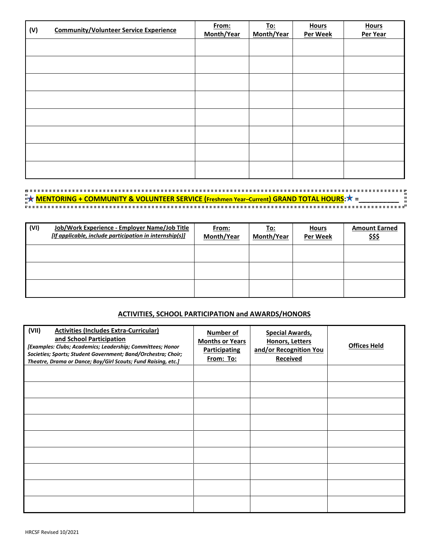| (V) | <b>Community/Volunteer Service Experience</b> | From:<br>Month/Year | <u>To:</u><br>Month/Year | <b>Hours</b><br><b>Per Week</b> | <b>Hours</b><br>Per Year |
|-----|-----------------------------------------------|---------------------|--------------------------|---------------------------------|--------------------------|
|     |                                               |                     |                          |                                 |                          |
|     |                                               |                     |                          |                                 |                          |
|     |                                               |                     |                          |                                 |                          |
|     |                                               |                     |                          |                                 |                          |
|     |                                               |                     |                          |                                 |                          |
|     |                                               |                     |                          |                                 |                          |
|     |                                               |                     |                          |                                 |                          |
|     |                                               |                     |                          |                                 |                          |

# **MENTORING + COMMUNITY & VOLUNTEER SERVICE (Freshmen Year–Current) GRAND TOTAL HOURS: = \_\_\_\_\_\_\_\_\_\_**

| (VI) | Job/Work Experience - Employer Name/Job Title<br>[If applicable, include participation in internship(s)] | From:<br>Month/Year | <u>To:</u><br>Month/Year | <b>Hours</b><br><b>Per Week</b> | <b>Amount Earned</b><br><u>\$\$\$</u> |
|------|----------------------------------------------------------------------------------------------------------|---------------------|--------------------------|---------------------------------|---------------------------------------|
|      |                                                                                                          |                     |                          |                                 |                                       |
|      |                                                                                                          |                     |                          |                                 |                                       |
|      |                                                                                                          |                     |                          |                                 |                                       |

## **ACTIVITIES, SCHOOL PARTICIPATION and AWARDS/HONORS**

| (VII)<br><b>Activities (Includes Extra-Curricular)</b><br>and School Participation<br>[Examples: Clubs; Academics; Leadership; Committees; Honor<br>Societies; Sports; Student Government; Band/Orchestra; Choir;<br>Theatre, Drama or Dance; Boy/Girl Scouts; Fund Raising, etc.] | <b>Number of</b><br><b>Months or Years</b><br><b>Participating</b><br>From: To: | <b>Special Awards,</b><br><b>Honors, Letters</b><br>and/or Recognition You<br><b>Received</b> | <b>Offices Held</b> |
|------------------------------------------------------------------------------------------------------------------------------------------------------------------------------------------------------------------------------------------------------------------------------------|---------------------------------------------------------------------------------|-----------------------------------------------------------------------------------------------|---------------------|
|                                                                                                                                                                                                                                                                                    |                                                                                 |                                                                                               |                     |
|                                                                                                                                                                                                                                                                                    |                                                                                 |                                                                                               |                     |
|                                                                                                                                                                                                                                                                                    |                                                                                 |                                                                                               |                     |
|                                                                                                                                                                                                                                                                                    |                                                                                 |                                                                                               |                     |
|                                                                                                                                                                                                                                                                                    |                                                                                 |                                                                                               |                     |
|                                                                                                                                                                                                                                                                                    |                                                                                 |                                                                                               |                     |
|                                                                                                                                                                                                                                                                                    |                                                                                 |                                                                                               |                     |
|                                                                                                                                                                                                                                                                                    |                                                                                 |                                                                                               |                     |
|                                                                                                                                                                                                                                                                                    |                                                                                 |                                                                                               |                     |